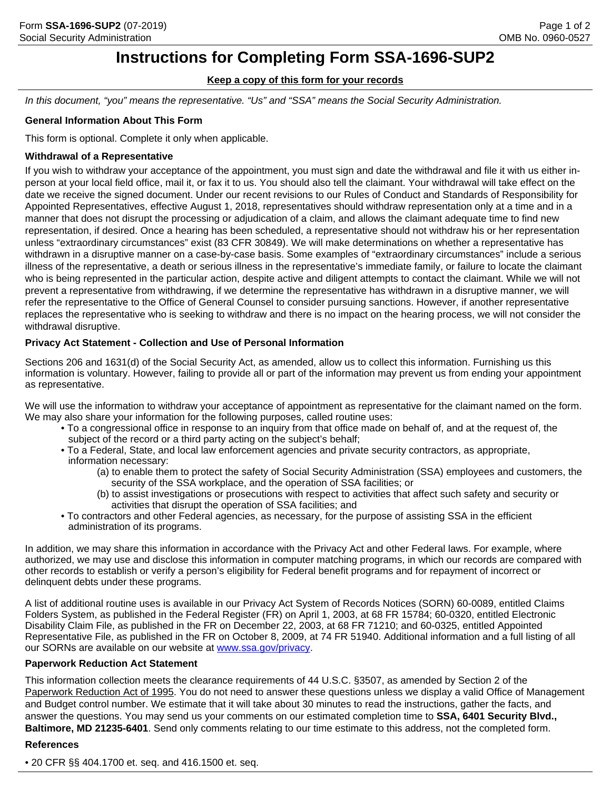## **Instructions for Completing Form SSA-1696-SUP2**

## **Keep a copy of this form for your records**

*In this document, "you" means the representative. "Us" and "SSA" means the Social Security Administration.*

### **General Information About This Form**

This form is optional. Complete it only when applicable.

### **Withdrawal of a Representative**

If you wish to withdraw your acceptance of the appointment, you must sign and date the withdrawal and file it with us either inperson at your local field office, mail it, or fax it to us. You should also tell the claimant. Your withdrawal will take effect on the date we receive the signed document. Under our recent revisions to our Rules of Conduct and Standards of Responsibility for Appointed Representatives, effective August 1, 2018, representatives should withdraw representation only at a time and in a manner that does not disrupt the processing or adjudication of a claim, and allows the claimant adequate time to find new representation, if desired. Once a hearing has been scheduled, a representative should not withdraw his or her representation unless "extraordinary circumstances" exist (83 CFR 30849). We will make determinations on whether a representative has withdrawn in a disruptive manner on a case-by-case basis. Some examples of "extraordinary circumstances" include a serious illness of the representative, a death or serious illness in the representative's immediate family, or failure to locate the claimant who is being represented in the particular action, despite active and diligent attempts to contact the claimant. While we will not prevent a representative from withdrawing, if we determine the representative has withdrawn in a disruptive manner, we will refer the representative to the Office of General Counsel to consider pursuing sanctions. However, if another representative replaces the representative who is seeking to withdraw and there is no impact on the hearing process, we will not consider the withdrawal disruptive.

## **Privacy Act Statement - Collection and Use of Personal Information**

Sections 206 and 1631(d) of the Social Security Act, as amended, allow us to collect this information. Furnishing us this information is voluntary. However, failing to provide all or part of the information may prevent us from ending your appointment as representative.

We will use the information to withdraw your acceptance of appointment as representative for the claimant named on the form. We may also share your information for the following purposes, called routine uses:

- To a congressional office in response to an inquiry from that office made on behalf of, and at the request of, the subject of the record or a third party acting on the subject's behalf;
- To a Federal, State, and local law enforcement agencies and private security contractors, as appropriate, information necessary:
	- (a) to enable them to protect the safety of Social Security Administration (SSA) employees and customers, the security of the SSA workplace, and the operation of SSA facilities; or
	- (b) to assist investigations or prosecutions with respect to activities that affect such safety and security or activities that disrupt the operation of SSA facilities; and
- To contractors and other Federal agencies, as necessary, for the purpose of assisting SSA in the efficient administration of its programs.

In addition, we may share this information in accordance with the Privacy Act and other Federal laws. For example, where authorized, we may use and disclose this information in computer matching programs, in which our records are compared with other records to establish or verify a person's eligibility for Federal benefit programs and for repayment of incorrect or delinquent debts under these programs.

A list of additional routine uses is available in our Privacy Act System of Records Notices (SORN) 60-0089, entitled Claims Folders System, as published in the Federal Register (FR) on April 1, 2003, at 68 FR 15784; 60-0320, entitled Electronic Disability Claim File, as published in the FR on December 22, 2003, at 68 FR 71210; and 60-0325, entitled Appointed Representative File, as published in the FR on October 8, 2009, at 74 FR 51940. Additional information and a full listing of all our SORNs are available on our website at [www.ssa.gov/privacy.](www.ssa.gov/privacy)

#### **Paperwork Reduction Act Statement**

This information collection meets the clearance requirements of 44 U.S.C. §3507, as amended by Section 2 of the Paperwork Reduction Act of 1995. You do not need to answer these questions unless we display a valid Office of Management and Budget control number. We estimate that it will take about 30 minutes to read the instructions, gather the facts, and answer the questions. You may send us your comments on our estimated completion time to **SSA, 6401 Security Blvd., Baltimore, MD 21235-6401**. Send only comments relating to our time estimate to this address, not the completed form.

#### **References**

• 20 CFR §§ 404.1700 et. seq. and 416.1500 et. seq.